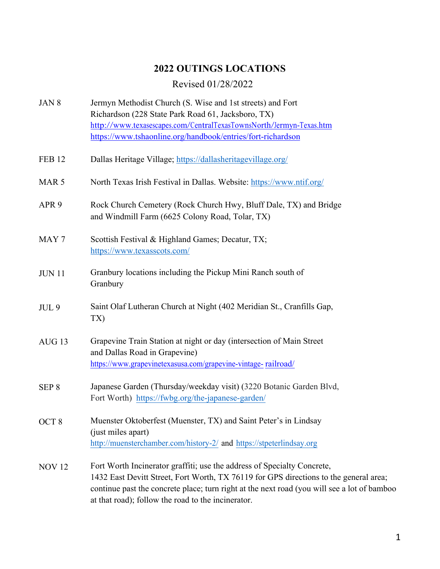## **2022 OUTINGS LOCATIONS**

## Revised 01/28/2022

| JAN 8             | Jermyn Methodist Church (S. Wise and 1st streets) and Fort                                                                                                                                                                                                                                                            |
|-------------------|-----------------------------------------------------------------------------------------------------------------------------------------------------------------------------------------------------------------------------------------------------------------------------------------------------------------------|
|                   | Richardson (228 State Park Road 61, Jacksboro, TX)                                                                                                                                                                                                                                                                    |
|                   | http://www.texasescapes.com/CentralTexasTownsNorth/Jermyn-Texas.htm                                                                                                                                                                                                                                                   |
|                   | https://www.tshaonline.org/handbook/entries/fort-richardson                                                                                                                                                                                                                                                           |
| <b>FEB 12</b>     | Dallas Heritage Village; https://dallasheritagevillage.org/                                                                                                                                                                                                                                                           |
| MAR <sub>5</sub>  | North Texas Irish Festival in Dallas. Website: https://www.ntif.org/                                                                                                                                                                                                                                                  |
| APR <sub>9</sub>  | Rock Church Cemetery (Rock Church Hwy, Bluff Dale, TX) and Bridge<br>and Windmill Farm (6625 Colony Road, Tolar, TX)                                                                                                                                                                                                  |
| MAY <sub>7</sub>  | Scottish Festival & Highland Games; Decatur, TX;<br>https://www.texasscots.com/                                                                                                                                                                                                                                       |
| <b>JUN 11</b>     | Granbury locations including the Pickup Mini Ranch south of<br>Granbury                                                                                                                                                                                                                                               |
| JUL <sub>9</sub>  | Saint Olaf Lutheran Church at Night (402 Meridian St., Cranfills Gap,<br>TX)                                                                                                                                                                                                                                          |
| AUG <sub>13</sub> | Grapevine Train Station at night or day (intersection of Main Street<br>and Dallas Road in Grapevine)<br>https://www.grapevinetexasusa.com/grapevine-vintage-railroad/                                                                                                                                                |
| SEP <sub>8</sub>  | Japanese Garden (Thursday/weekday visit) (3220 Botanic Garden Blvd,<br>Fort Worth) https://fwbg.org/the-japanese-garden/                                                                                                                                                                                              |
| OCT <sub>8</sub>  | Muenster Oktoberfest (Muenster, TX) and Saint Peter's in Lindsay<br>(just miles apart)<br>http://muensterchamber.com/history-2/ and https://stpeterlindsay.org                                                                                                                                                        |
| <b>NOV 12</b>     | Fort Worth Incinerator graffiti; use the address of Specialty Concrete,<br>1432 East Devitt Street, Fort Worth, TX 76119 for GPS directions to the general area;<br>continue past the concrete place; turn right at the next road (you will see a lot of bamboo<br>at that road); follow the road to the incinerator. |